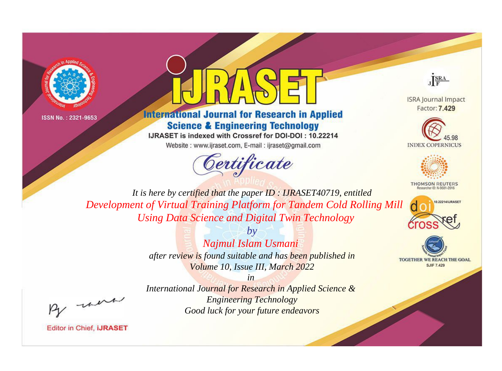



# **International Journal for Research in Applied Science & Engineering Technology**

IJRASET is indexed with Crossref for DOI-DOI: 10.22214 Website: www.ijraset.com, E-mail: ijraset@gmail.com



JERA

**ISRA Journal Impact** Factor: 7.429





**THOMSON REUTERS** 



TOGETHER WE REACH THE GOAL **SJIF 7.429** 

*It is here by certified that the paper ID : IJRASET40719, entitled Development of Virtual Training Platform for Tandem Cold Rolling Mill Using Data Science and Digital Twin Technology*

> *by Najmul Islam Usmani after review is found suitable and has been published in Volume 10, Issue III, March 2022*

, un

*International Journal for Research in Applied Science & Engineering Technology Good luck for your future endeavors*

*in*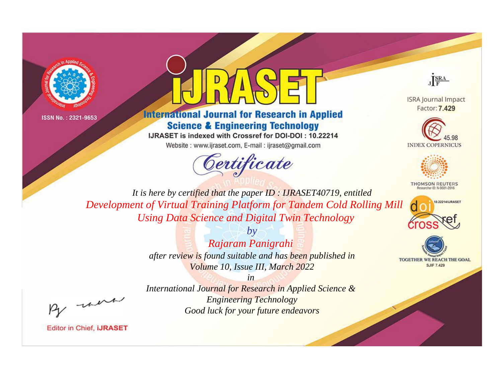



# **International Journal for Research in Applied Science & Engineering Technology**

IJRASET is indexed with Crossref for DOI-DOI: 10.22214

Website: www.ijraset.com, E-mail: ijraset@gmail.com





**ISRA Journal Impact** Factor: 7.429





**THOMSON REUTERS** 



TOGETHER WE REACH THE GOAL **SJIF 7.429** 

*It is here by certified that the paper ID : IJRASET40719, entitled Development of Virtual Training Platform for Tandem Cold Rolling Mill Using Data Science and Digital Twin Technology*

> *by Rajaram Panigrahi after review is found suitable and has been published in Volume 10, Issue III, March 2022*

, un

*International Journal for Research in Applied Science & Engineering Technology Good luck for your future endeavors*

*in*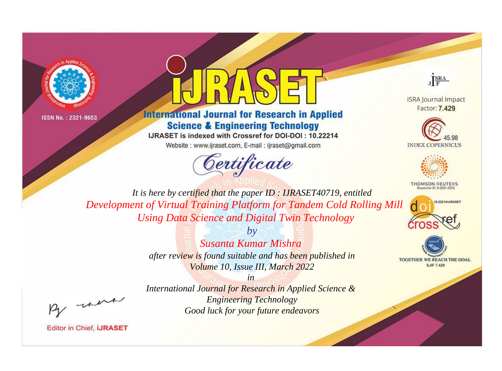



# **International Journal for Research in Applied Science & Engineering Technology**

IJRASET is indexed with Crossref for DOI-DOI: 10.22214 Website: www.ijraset.com, E-mail: ijraset@gmail.com



JERA

**ISRA Journal Impact** Factor: 7.429





**THOMSON REUTERS** 



TOGETHER WE REACH THE GOAL **SJIF 7.429** 

*It is here by certified that the paper ID : IJRASET40719, entitled Development of Virtual Training Platform for Tandem Cold Rolling Mill Using Data Science and Digital Twin Technology*

> *by Susanta Kumar Mishra after review is found suitable and has been published in Volume 10, Issue III, March 2022*

, un

*International Journal for Research in Applied Science & Engineering Technology Good luck for your future endeavors*

*in*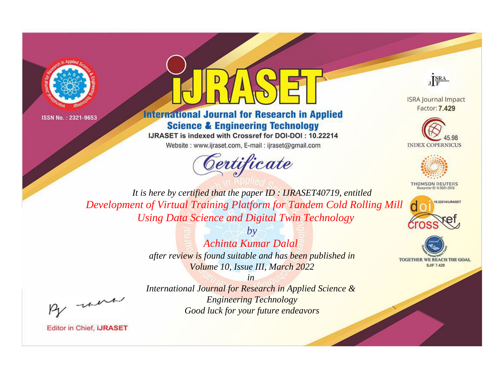



# **International Journal for Research in Applied Science & Engineering Technology**

IJRASET is indexed with Crossref for DOI-DOI: 10.22214 Website: www.ijraset.com, E-mail: ijraset@gmail.com



JERA

**ISRA Journal Impact** Factor: 7.429





**THOMSON REUTERS** 



TOGETHER WE REACH THE GOAL **SJIF 7.429** 

*It is here by certified that the paper ID : IJRASET40719, entitled Development of Virtual Training Platform for Tandem Cold Rolling Mill Using Data Science and Digital Twin Technology*

> *by Achinta Kumar Dalal after review is found suitable and has been published in Volume 10, Issue III, March 2022*

, un

*International Journal for Research in Applied Science & Engineering Technology Good luck for your future endeavors*

*in*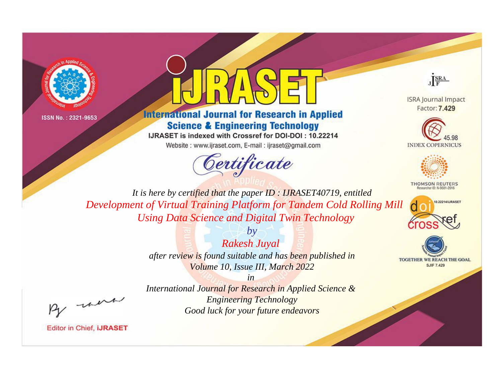



# **International Journal for Research in Applied Science & Engineering Technology**

IJRASET is indexed with Crossref for DOI-DOI: 10.22214

Website: www.ijraset.com, E-mail: ijraset@gmail.com



JERA

**ISRA Journal Impact** Factor: 7.429





**THOMSON REUTERS** 



TOGETHER WE REACH THE GOAL **SJIF 7.429** 

*It is here by certified that the paper ID : IJRASET40719, entitled Development of Virtual Training Platform for Tandem Cold Rolling Mill Using Data Science and Digital Twin Technology*

> *Rakesh Juyal after review is found suitable and has been published in Volume 10, Issue III, March 2022*

> > *in*

*by*

, un

*International Journal for Research in Applied Science & Engineering Technology Good luck for your future endeavors*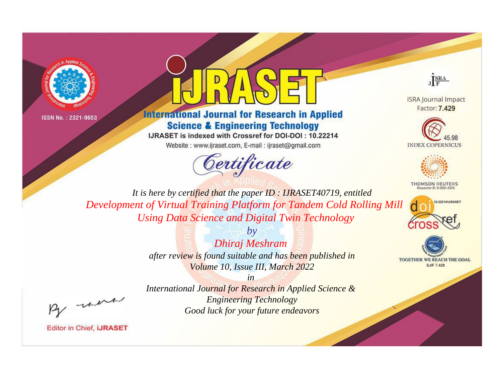



# **International Journal for Research in Applied Science & Engineering Technology**

IJRASET is indexed with Crossref for DOI-DOI: 10.22214

Website: www.ijraset.com, E-mail: ijraset@gmail.com





**ISRA Journal Impact** Factor: 7.429





**THOMSON REUTERS** 



TOGETHER WE REACH THE GOAL **SJIF 7.429** 

*It is here by certified that the paper ID : IJRASET40719, entitled Development of Virtual Training Platform for Tandem Cold Rolling Mill Using Data Science and Digital Twin Technology*

> *Dhiraj Meshram after review is found suitable and has been published in Volume 10, Issue III, March 2022*

*by*

, un

*International Journal for Research in Applied Science & Engineering Technology Good luck for your future endeavors*

*in*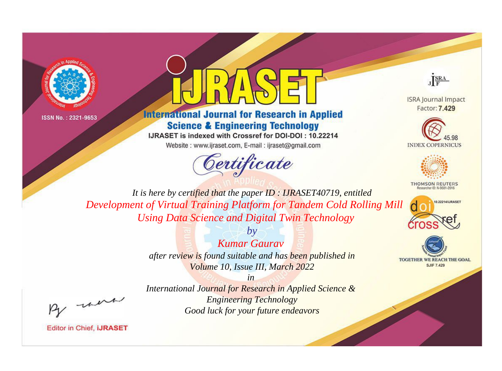



# **International Journal for Research in Applied Science & Engineering Technology**

IJRASET is indexed with Crossref for DOI-DOI: 10.22214

Website: www.ijraset.com, E-mail: ijraset@gmail.com





**ISRA Journal Impact** Factor: 7.429





**THOMSON REUTERS** 



TOGETHER WE REACH THE GOAL **SJIF 7.429** 

*It is here by certified that the paper ID : IJRASET40719, entitled Development of Virtual Training Platform for Tandem Cold Rolling Mill Using Data Science and Digital Twin Technology*

> *Kumar Gaurav after review is found suitable and has been published in Volume 10, Issue III, March 2022*

*by*

, un

*International Journal for Research in Applied Science & Engineering Technology Good luck for your future endeavors*

*in*